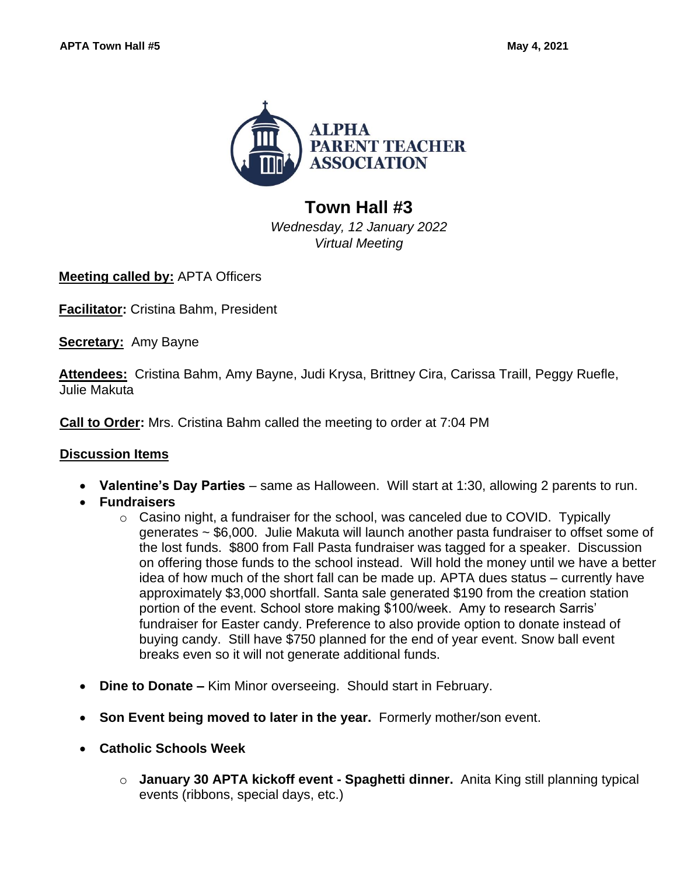

## **Town Hall #3**

*Wednesday, 12 January 2022 Virtual Meeting*

**Meeting called by:** APTA Officers

**Facilitator:** Cristina Bahm, President

**Secretary:** Amy Bayne

**Attendees:** Cristina Bahm, Amy Bayne, Judi Krysa, Brittney Cira, Carissa Traill, Peggy Ruefle, Julie Makuta

**Call to Order:** Mrs. Cristina Bahm called the meeting to order at 7:04 PM

## **Discussion Items**

- **Valentine's Day Parties**  same as Halloween. Will start at 1:30, allowing 2 parents to run.
- **Fundraisers**
	- o Casino night, a fundraiser for the school, was canceled due to COVID. Typically generates ~ \$6,000. Julie Makuta will launch another pasta fundraiser to offset some of the lost funds. \$800 from Fall Pasta fundraiser was tagged for a speaker. Discussion on offering those funds to the school instead. Will hold the money until we have a better idea of how much of the short fall can be made up. APTA dues status – currently have approximately \$3,000 shortfall. Santa sale generated \$190 from the creation station portion of the event. School store making \$100/week. Amy to research Sarris' fundraiser for Easter candy. Preference to also provide option to donate instead of buying candy. Still have \$750 planned for the end of year event. Snow ball event breaks even so it will not generate additional funds.
- **Dine to Donate –** Kim Minor overseeing. Should start in February.
- **Son Event being moved to later in the year.** Formerly mother/son event.
- **Catholic Schools Week**
	- o **January 30 APTA kickoff event - Spaghetti dinner.** Anita King still planning typical events (ribbons, special days, etc.)